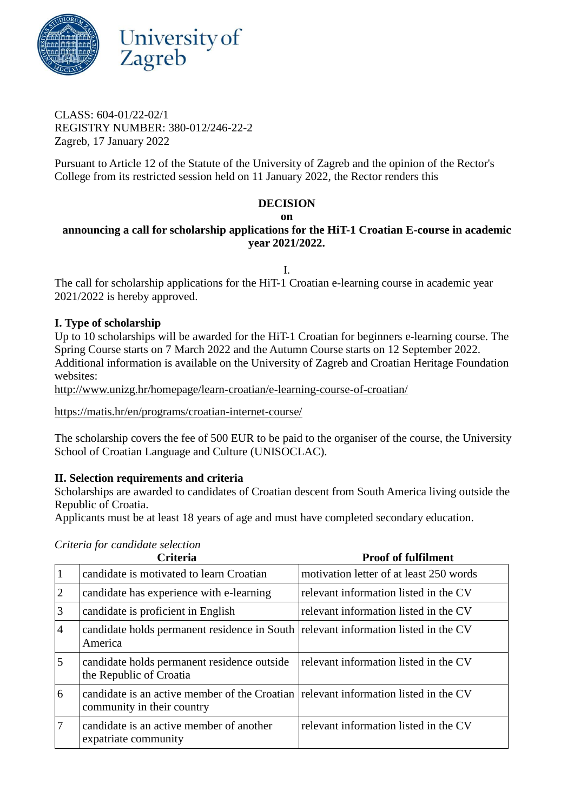

CLASS: 604-01/22-02/1 REGISTRY NUMBER: 380-012/246-22-2 Zagreb, 17 January 2022

Pursuant to Article 12 of the Statute of the University of Zagreb and the opinion of the Rector's College from its restricted session held on 11 January 2022, the Rector renders this

#### **DECISION**

#### **on**

# **announcing a call for scholarship applications for the HiT-1 Croatian E-course in academic year 2021/2022.**

I.

The call for scholarship applications for the HiT-1 Croatian e-learning course in academic year 2021/2022 is hereby approved.

# **I. Type of scholarship**

Up to 10 scholarships will be awarded for the HiT-1 Croatian for beginners e-learning course. The Spring Course starts on 7 March 2022 and the Autumn Course starts on 12 September 2022. Additional information is available on the University of Zagreb and Croatian Heritage Foundation websites:

[http://www.unizg.hr/homepage/learn-croatian/e-learning-course-of-croatian/](http://www.unizg.hr/homepage/learn-croatian/e-learning-course-of-croatian/#_blank)

[https://matis.hr/en/programs/croatian-internet-course/](https://matis.hr/en/programs/croatian-internet-course/#_blank)

The scholarship covers the fee of 500 EUR to be paid to the organiser of the course, the University School of Croatian Language and Culture (UNISOCLAC).

# **II. Selection requirements and criteria**

Scholarships are awarded to candidates of Croatian descent from South America living outside the Republic of Croatia.

Applicants must be at least 18 years of age and must have completed secondary education.

|                | <b>Criteria</b>                                                                                                   | <b>Proof of fulfilment</b>              |
|----------------|-------------------------------------------------------------------------------------------------------------------|-----------------------------------------|
|                | candidate is motivated to learn Croatian                                                                          | motivation letter of at least 250 words |
| $\overline{2}$ | candidate has experience with e-learning                                                                          | relevant information listed in the CV   |
| 3              | candidate is proficient in English                                                                                | relevant information listed in the CV   |
| $\overline{4}$ | candidate holds permanent residence in South<br>America                                                           | relevant information listed in the CV   |
| 5              | candidate holds permanent residence outside<br>the Republic of Croatia                                            | relevant information listed in the CV   |
| 6              | candidate is an active member of the Croatian relevant information listed in the CV<br>community in their country |                                         |
| 7              | candidate is an active member of another<br>expatriate community                                                  | relevant information listed in the CV   |

*Criteria for candidate selection*